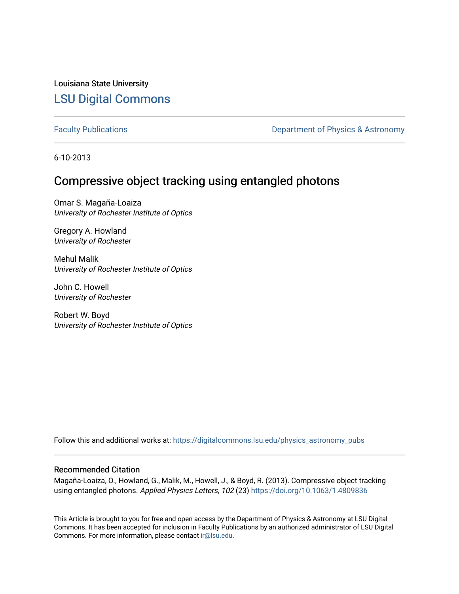Louisiana State University [LSU Digital Commons](https://digitalcommons.lsu.edu/)

[Faculty Publications](https://digitalcommons.lsu.edu/physics_astronomy_pubs) **Exercise 2 and Table 2 and Table 2 and Table 2 and Table 2 and Table 2 and Table 2 and Table 2 and Table 2 and Table 2 and Table 2 and Table 2 and Table 2 and Table 2 and Table 2 and Table 2 and Table** 

6-10-2013

# Compressive object tracking using entangled photons

Omar S. Magaña-Loaiza University of Rochester Institute of Optics

Gregory A. Howland University of Rochester

Mehul Malik University of Rochester Institute of Optics

John C. Howell University of Rochester

Robert W. Boyd University of Rochester Institute of Optics

Follow this and additional works at: [https://digitalcommons.lsu.edu/physics\\_astronomy\\_pubs](https://digitalcommons.lsu.edu/physics_astronomy_pubs?utm_source=digitalcommons.lsu.edu%2Fphysics_astronomy_pubs%2F3026&utm_medium=PDF&utm_campaign=PDFCoverPages) 

## Recommended Citation

Magaña-Loaiza, O., Howland, G., Malik, M., Howell, J., & Boyd, R. (2013). Compressive object tracking using entangled photons. Applied Physics Letters, 102 (23)<https://doi.org/10.1063/1.4809836>

This Article is brought to you for free and open access by the Department of Physics & Astronomy at LSU Digital Commons. It has been accepted for inclusion in Faculty Publications by an authorized administrator of LSU Digital Commons. For more information, please contact [ir@lsu.edu](mailto:ir@lsu.edu).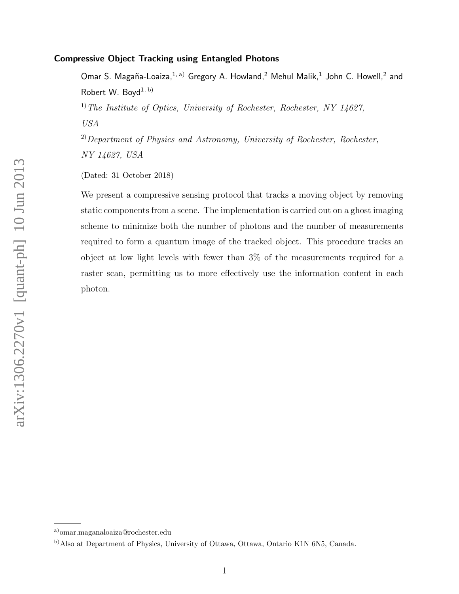# Compressive Object Tracking using Entangled Photons

Omar S. Magaña-Loaiza, $^{1, \text{ a)}}$  Gregory A. Howland,<sup>2</sup> Mehul Malik,<sup>1</sup> John C. Howell,<sup>2</sup> and Robert W. Boyd<sup>1, b)</sup> <sup>1)</sup> The Institute of Optics, University of Rochester, Rochester, NY 14627, USA

 $^{2)}$ Department of Physics and Astronomy, University of Rochester, Rochester, NY 14627, USA

(Dated: 31 October 2018)

We present a compressive sensing protocol that tracks a moving object by removing static components from a scene. The implementation is carried out on a ghost imaging scheme to minimize both the number of photons and the number of measurements required to form a quantum image of the tracked object. This procedure tracks an object at low light levels with fewer than 3% of the measurements required for a raster scan, permitting us to more effectively use the information content in each photon.

arXiv:1306.2270v1 [quant-ph] 10 Jun 2013 arXiv:1306.2270v1 [quant-ph] 10 Jun 2013

a)omar.maganaloaiza@rochester.edu

b)Also at Department of Physics, University of Ottawa, Ottawa, Ontario K1N 6N5, Canada.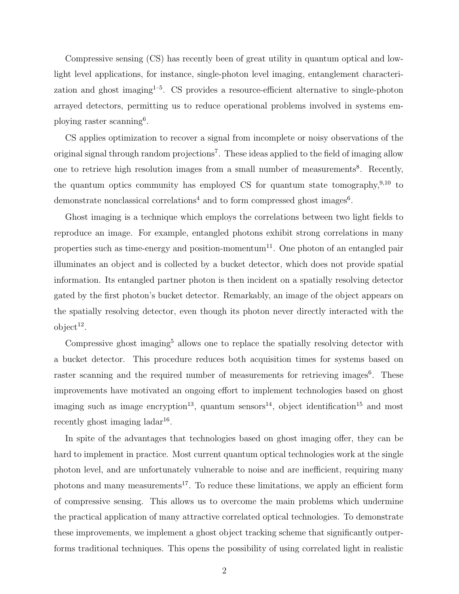Compressive sensing (CS) has recently been of great utility in quantum optical and lowlight level applications, for instance, single-photon level imaging, entanglement characterization and ghost imaging<sup> $1-5$ </sup>. CS provides a resource-efficient alternative to single-photon arrayed detectors, permitting us to reduce operational problems involved in systems employing raster scanning<sup>6</sup> .

CS applies optimization to recover a signal from incomplete or noisy observations of the original signal through random projections<sup>7</sup>. These ideas applied to the field of imaging allow one to retrieve high resolution images from a small number of measurements<sup>8</sup>. Recently, the quantum optics community has employed CS for quantum state tomography,  $9,10$  to demonstrate nonclassical correlations<sup>4</sup> and to form compressed ghost images<sup>6</sup>.

Ghost imaging is a technique which employs the correlations between two light fields to reproduce an image. For example, entangled photons exhibit strong correlations in many properties such as time-energy and position-momentum<sup>11</sup>. One photon of an entangled pair illuminates an object and is collected by a bucket detector, which does not provide spatial information. Its entangled partner photon is then incident on a spatially resolving detector gated by the first photon's bucket detector. Remarkably, an image of the object appears on the spatially resolving detector, even though its photon never directly interacted with the  $object^{12}$ .

Compressive ghost imaging<sup>5</sup> allows one to replace the spatially resolving detector with a bucket detector. This procedure reduces both acquisition times for systems based on raster scanning and the required number of measurements for retrieving images<sup>6</sup>. These improvements have motivated an ongoing effort to implement technologies based on ghost imaging such as image encryption<sup>13</sup>, quantum sensors<sup>14</sup>, object identification<sup>15</sup> and most recently ghost imaging  $ladar^{16}$ .

In spite of the advantages that technologies based on ghost imaging offer, they can be hard to implement in practice. Most current quantum optical technologies work at the single photon level, and are unfortunately vulnerable to noise and are inefficient, requiring many photons and many measurements<sup>17</sup>. To reduce these limitations, we apply an efficient form of compressive sensing. This allows us to overcome the main problems which undermine the practical application of many attractive correlated optical technologies. To demonstrate these improvements, we implement a ghost object tracking scheme that significantly outperforms traditional techniques. This opens the possibility of using correlated light in realistic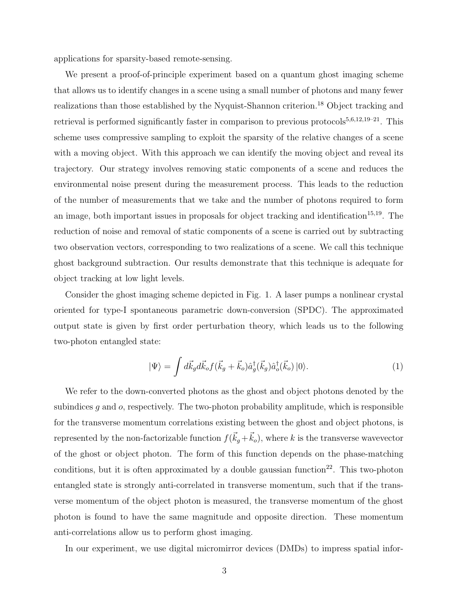applications for sparsity-based remote-sensing.

We present a proof-of-principle experiment based on a quantum ghost imaging scheme that allows us to identify changes in a scene using a small number of photons and many fewer realizations than those established by the Nyquist-Shannon criterion.<sup>18</sup> Object tracking and retrieval is performed significantly faster in comparison to previous protocols<sup>5,6,12,19–21</sup>. This scheme uses compressive sampling to exploit the sparsity of the relative changes of a scene with a moving object. With this approach we can identify the moving object and reveal its trajectory. Our strategy involves removing static components of a scene and reduces the environmental noise present during the measurement process. This leads to the reduction of the number of measurements that we take and the number of photons required to form an image, both important issues in proposals for object tracking and identification<sup>15,19</sup>. The reduction of noise and removal of static components of a scene is carried out by subtracting two observation vectors, corresponding to two realizations of a scene. We call this technique ghost background subtraction. Our results demonstrate that this technique is adequate for object tracking at low light levels.

Consider the ghost imaging scheme depicted in Fig. 1. A laser pumps a nonlinear crystal oriented for type-I spontaneous parametric down-conversion (SPDC). The approximated output state is given by first order perturbation theory, which leads us to the following two-photon entangled state:

$$
|\Psi\rangle = \int d\vec{k}_g d\vec{k}_o f(\vec{k}_g + \vec{k}_o) \hat{a}_g^{\dagger}(\vec{k}_g) \hat{a}_o^{\dagger}(\vec{k}_o) |0\rangle.
$$
 (1)

We refer to the down-converted photons as the ghost and object photons denoted by the subindices  $q$  and  $o$ , respectively. The two-photon probability amplitude, which is responsible for the transverse momentum correlations existing between the ghost and object photons, is represented by the non-factorizable function  $f(\vec{k}_g + \vec{k}_o)$ , where k is the transverse wavevector of the ghost or object photon. The form of this function depends on the phase-matching conditions, but it is often approximated by a double gaussian function<sup>22</sup>. This two-photon entangled state is strongly anti-correlated in transverse momentum, such that if the transverse momentum of the object photon is measured, the transverse momentum of the ghost photon is found to have the same magnitude and opposite direction. These momentum anti-correlations allow us to perform ghost imaging.

In our experiment, we use digital micromirror devices (DMDs) to impress spatial infor-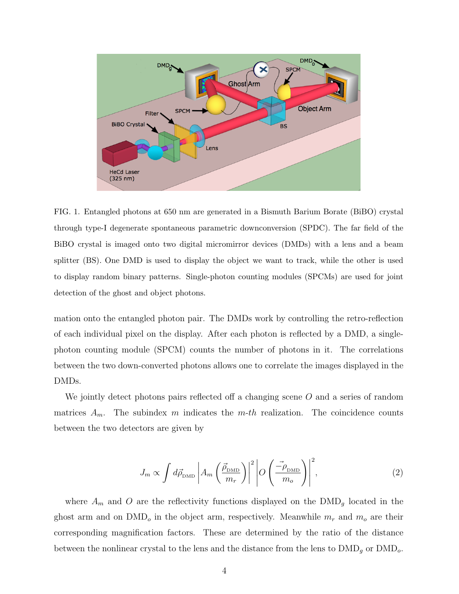

FIG. 1. Entangled photons at 650 nm are generated in a Bismuth Barium Borate (BiBO) crystal through type-I degenerate spontaneous parametric downconversion (SPDC). The far field of the BiBO crystal is imaged onto two digital micromirror devices (DMDs) with a lens and a beam splitter (BS). One DMD is used to display the object we want to track, while the other is used to display random binary patterns. Single-photon counting modules (SPCMs) are used for joint detection of the ghost and object photons.

mation onto the entangled photon pair. The DMDs work by controlling the retro-reflection of each individual pixel on the display. After each photon is reflected by a DMD, a singlephoton counting module (SPCM) counts the number of photons in it. The correlations between the two down-converted photons allows one to correlate the images displayed in the DMDs.

We jointly detect photons pairs reflected off a changing scene  $O$  and a series of random matrices  $A_m$ . The subindex m indicates the m-th realization. The coincidence counts between the two detectors are given by

$$
J_m \propto \int d\vec{\rho}_{\text{DMD}} \left| A_m \left( \frac{\vec{\rho}_{\text{DMD}}}{m_r} \right) \right|^2 \left| O \left( \frac{\vec{-\rho}_{\text{DMD}}}{m_o} \right) \right|^2, \tag{2}
$$

where  $A_m$  and O are the reflectivity functions displayed on the  $\text{DMD}_g$  located in the ghost arm and on  $\text{DMD}_o$  in the object arm, respectively. Meanwhile  $m_r$  and  $m_o$  are their corresponding magnification factors. These are determined by the ratio of the distance between the nonlinear crystal to the lens and the distance from the lens to  $\text{DMD}_g$  or  $\text{DMD}_o$ .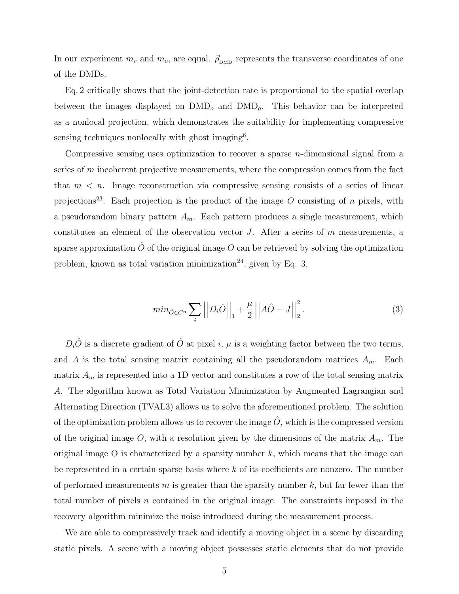In our experiment  $m_r$  and  $m_o$ , are equal.  $\vec{\rho}_{\text{DMD}}$  represents the transverse coordinates of one of the DMDs.

Eq. 2 critically shows that the joint-detection rate is proportional to the spatial overlap between the images displayed on  $\text{DMD}_o$  and  $\text{DMD}_g$ . This behavior can be interpreted as a nonlocal projection, which demonstrates the suitability for implementing compressive sensing techniques nonlocally with ghost imaging<sup>6</sup>.

Compressive sensing uses optimization to recover a sparse n-dimensional signal from a series of m incoherent projective measurements, where the compression comes from the fact that  $m < n$ . Image reconstruction via compressive sensing consists of a series of linear projections<sup>23</sup>. Each projection is the product of the image O consisting of n pixels, with a pseudorandom binary pattern  $A_m$ . Each pattern produces a single measurement, which constitutes an element of the observation vector  $J$ . After a series of  $m$  measurements, a sparse approximation  $\hat{O}$  of the original image O can be retrieved by solving the optimization problem, known as total variation minimization<sup>24</sup>, given by Eq. 3.

$$
min_{\hat{O} \in C^n} \sum_{i} \left| \left| D_i \hat{O} \right| \right|_1 + \frac{\mu}{2} \left| \left| A\hat{O} - J \right| \right|_2^2.
$$
 (3)

 $D_i\hat{O}$  is a discrete gradient of  $\hat{O}$  at pixel i,  $\mu$  is a weighting factor between the two terms, and A is the total sensing matrix containing all the pseudorandom matrices  $A_m$ . Each matrix  $A_m$  is represented into a 1D vector and constitutes a row of the total sensing matrix A. The algorithm known as Total Variation Minimization by Augmented Lagrangian and Alternating Direction (TVAL3) allows us to solve the aforementioned problem. The solution of the optimization problem allows us to recover the image  $\hat{O}$ , which is the compressed version of the original image O, with a resolution given by the dimensions of the matrix  $A_m$ . The original image O is characterized by a sparsity number  $k$ , which means that the image can be represented in a certain sparse basis where k of its coefficients are nonzero. The number of performed measurements m is greater than the sparsity number  $k$ , but far fewer than the total number of pixels n contained in the original image. The constraints imposed in the recovery algorithm minimize the noise introduced during the measurement process.

We are able to compressively track and identify a moving object in a scene by discarding static pixels. A scene with a moving object possesses static elements that do not provide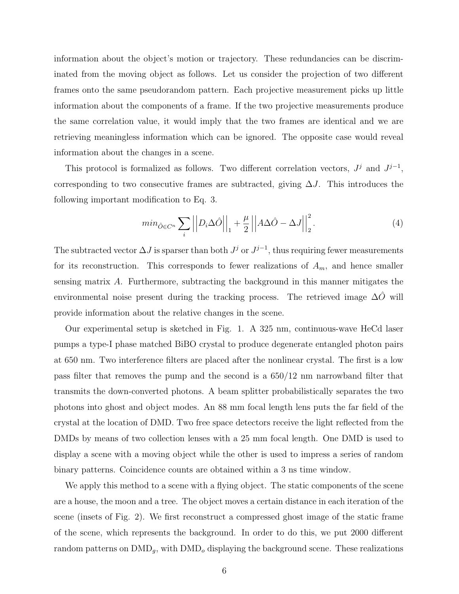information about the object's motion or trajectory. These redundancies can be discriminated from the moving object as follows. Let us consider the projection of two different frames onto the same pseudorandom pattern. Each projective measurement picks up little information about the components of a frame. If the two projective measurements produce the same correlation value, it would imply that the two frames are identical and we are retrieving meaningless information which can be ignored. The opposite case would reveal information about the changes in a scene.

This protocol is formalized as follows. Two different correlation vectors,  $J^j$  and  $J^{j-1}$ , corresponding to two consecutive frames are subtracted, giving  $\Delta J$ . This introduces the following important modification to Eq. 3.

$$
min_{\hat{O} \in C^n} \sum_{i} \left| \left| D_i \Delta \hat{O} \right| \right|_1 + \frac{\mu}{2} \left| \left| A \Delta \hat{O} - \Delta J \right| \right|_2^2.
$$
 (4)

The subtracted vector  $\Delta J$  is sparser than both  $J^j$  or  $J^{j-1}$ , thus requiring fewer measurements for its reconstruction. This corresponds to fewer realizations of  $A_m$ , and hence smaller sensing matrix A. Furthermore, subtracting the background in this manner mitigates the environmental noise present during the tracking process. The retrieved image  $\Delta O$  will provide information about the relative changes in the scene.

Our experimental setup is sketched in Fig. 1. A 325 nm, continuous-wave HeCd laser pumps a type-I phase matched BiBO crystal to produce degenerate entangled photon pairs at 650 nm. Two interference filters are placed after the nonlinear crystal. The first is a low pass filter that removes the pump and the second is a 650/12 nm narrowband filter that transmits the down-converted photons. A beam splitter probabilistically separates the two photons into ghost and object modes. An 88 mm focal length lens puts the far field of the crystal at the location of DMD. Two free space detectors receive the light reflected from the DMDs by means of two collection lenses with a 25 mm focal length. One DMD is used to display a scene with a moving object while the other is used to impress a series of random binary patterns. Coincidence counts are obtained within a 3 ns time window.

We apply this method to a scene with a flying object. The static components of the scene are a house, the moon and a tree. The object moves a certain distance in each iteration of the scene (insets of Fig. 2). We first reconstruct a compressed ghost image of the static frame of the scene, which represents the background. In order to do this, we put 2000 different random patterns on  $\text{DMD}_q$ , with  $\text{DMD}_o$  displaying the background scene. These realizations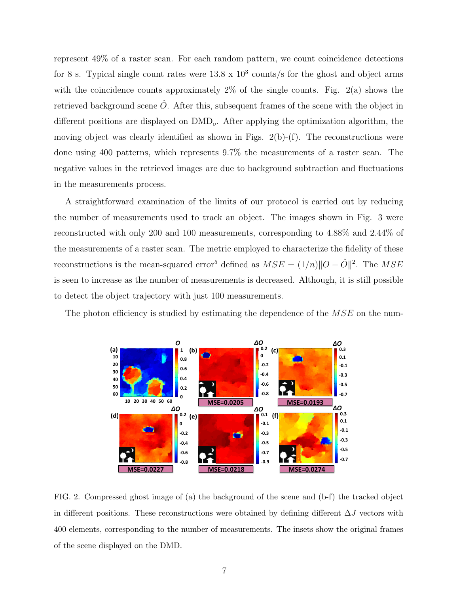represent 49% of a raster scan. For each random pattern, we count coincidence detections for 8 s. Typical single count rates were  $13.8 \times 10^3$  counts/s for the ghost and object arms with the coincidence counts approximately  $2\%$  of the single counts. Fig.  $2(a)$  shows the retrieved background scene  $\ddot{O}$ . After this, subsequent frames of the scene with the object in different positions are displayed on  $\text{DMD}_{o}$ . After applying the optimization algorithm, the moving object was clearly identified as shown in Figs.  $2(b)-(f)$ . The reconstructions were done using 400 patterns, which represents 9.7% the measurements of a raster scan. The negative values in the retrieved images are due to background subtraction and fluctuations in the measurements process.

A straightforward examination of the limits of our protocol is carried out by reducing the number of measurements used to track an object. The images shown in Fig. 3 were reconstructed with only 200 and 100 measurements, corresponding to 4.88% and 2.44% of the measurements of a raster scan. The metric employed to characterize the fidelity of these reconstructions is the mean-squared error<sup>5</sup> defined as  $MSE = (1/n) ||O - \hat{O}||^2$ . The  $MSE$ is seen to increase as the number of measurements is decreased. Although, it is still possible to detect the object trajectory with just 100 measurements.

The photon efficiency is studied by estimating the dependence of the  $MSE$  on the num-



FIG. 2. Compressed ghost image of (a) the background of the scene and (b-f) the tracked object in different positions. These reconstructions were obtained by defining different  $\Delta J$  vectors with 400 elements, corresponding to the number of measurements. The insets show the original frames of the scene displayed on the DMD.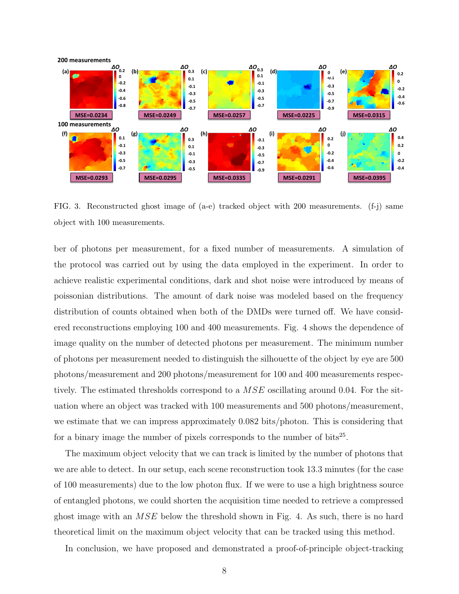

FIG. 3. Reconstructed ghost image of (a-e) tracked object with 200 measurements. (f-j) same object with 100 measurements.

ber of photons per measurement, for a fixed number of measurements. A simulation of the protocol was carried out by using the data employed in the experiment. In order to achieve realistic experimental conditions, dark and shot noise were introduced by means of poissonian distributions. The amount of dark noise was modeled based on the frequency distribution of counts obtained when both of the DMDs were turned off. We have considered reconstructions employing 100 and 400 measurements. Fig. 4 shows the dependence of image quality on the number of detected photons per measurement. The minimum number of photons per measurement needed to distinguish the silhouette of the object by eye are 500 photons/measurement and 200 photons/measurement for 100 and 400 measurements respectively. The estimated thresholds correspond to a MSE oscillating around 0.04. For the situation where an object was tracked with 100 measurements and 500 photons/measurement, we estimate that we can impress approximately 0.082 bits/photon. This is considering that for a binary image the number of pixels corresponds to the number of bits<sup>25</sup>.

The maximum object velocity that we can track is limited by the number of photons that we are able to detect. In our setup, each scene reconstruction took 13.3 minutes (for the case of 100 measurements) due to the low photon flux. If we were to use a high brightness source of entangled photons, we could shorten the acquisition time needed to retrieve a compressed ghost image with an  $MSE$  below the threshold shown in Fig. 4. As such, there is no hard theoretical limit on the maximum object velocity that can be tracked using this method.

In conclusion, we have proposed and demonstrated a proof-of-principle object-tracking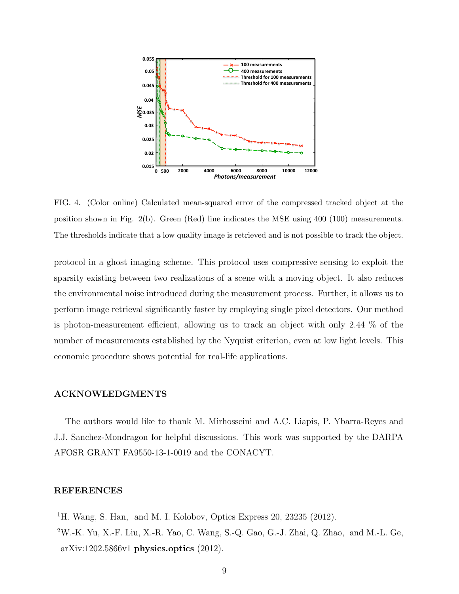

FIG. 4. (Color online) Calculated mean-squared error of the compressed tracked object at the position shown in Fig. 2(b). Green (Red) line indicates the MSE using 400 (100) measurements. The thresholds indicate that a low quality image is retrieved and is not possible to track the object.

protocol in a ghost imaging scheme. This protocol uses compressive sensing to exploit the sparsity existing between two realizations of a scene with a moving object. It also reduces the environmental noise introduced during the measurement process. Further, it allows us to perform image retrieval significantly faster by employing single pixel detectors. Our method is photon-measurement efficient, allowing us to track an object with only 2.44 % of the number of measurements established by the Nyquist criterion, even at low light levels. This economic procedure shows potential for real-life applications.

#### ACKNOWLEDGMENTS

The authors would like to thank M. Mirhosseini and A.C. Liapis, P. Ybarra-Reyes and J.J. Sanchez-Mondragon for helpful discussions. This work was supported by the DARPA AFOSR GRANT FA9550-13-1-0019 and the CONACYT.

### REFERENCES

<sup>1</sup>H. Wang, S. Han, and M. I. Kolobov, Optics Express 20, 23235 (2012).  $2W.-K.$  Yu, X.-F. Liu, X.-R. Yao, C. Wang, S.-Q. Gao, G.-J. Zhai, Q. Zhao, and M.-L. Ge, arXiv:1202.5866v1 physics.optics (2012).